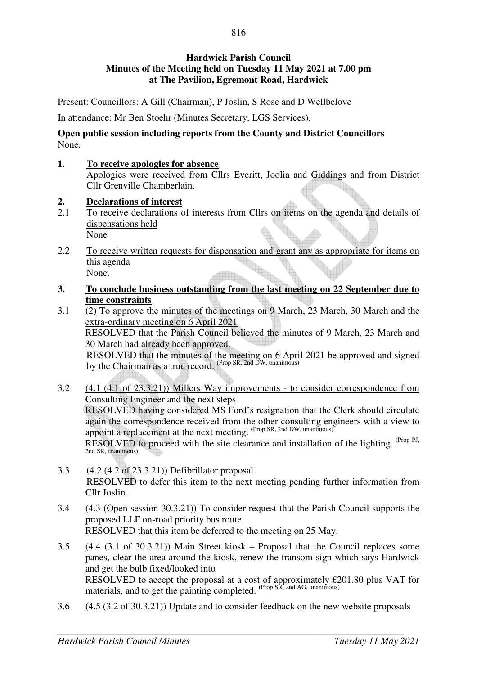## **Hardwick Parish Council Minutes of the Meeting held on Tuesday 11 May 2021 at 7.00 pm at The Pavilion, Egremont Road, Hardwick**

Present: Councillors: A Gill (Chairman), P Joslin, S Rose and D Wellbelove

In attendance: Mr Ben Stoehr (Minutes Secretary, LGS Services).

### **Open public session including reports from the County and District Councillors**  None.

### **1. To receive apologies for absence**

Apologies were received from Cllrs Everitt, Joolia and Giddings and from District Cllr Grenville Chamberlain.

### **2. Declarations of interest**

- 2.1 To receive declarations of interests from Cllrs on items on the agenda and details of dispensations held None
- 2.2 To receive written requests for dispensation and grant any as appropriate for items on this agenda None.
- **3. To conclude business outstanding from the last meeting on 22 September due to time constraints**
- 3.1 (2) To approve the minutes of the meetings on 9 March, 23 March, 30 March and the extra-ordinary meeting on 6 April 2021 RESOLVED that the Parish Council believed the minutes of 9 March, 23 March and 30 March had already been approved.

RESOLVED that the minutes of the meeting on 6 April 2021 be approved and signed by the Chairman as a true record. (Prop SR, 2nd DW, unanimous)

- 3.2 (4.1 (4.1 of 23.3.21)) Millers Way improvements to consider correspondence from Consulting Engineer and the next steps RESOLVED having considered MS Ford's resignation that the Clerk should circulate again the correspondence received from the other consulting engineers with a view to appoint a replacement at the next meeting. (Prop SR, 2nd DW, unanimous) RESOLVED to proceed with the site clearance and installation of the lighting. <sup>(Prop PJ,</sup> 2nd SR, unanimous)
- 3.3 (4.2 (4.2 of 23.3.21)) Defibrillator proposal RESOLVED to defer this item to the next meeting pending further information from Cllr Joslin..
- 3.4 (4.3 (Open session 30.3.21)) To consider request that the Parish Council supports the proposed LLF on-road priority bus route RESOLVED that this item be deferred to the meeting on 25 May.
- 3.5 (4.4 (3.1 of 30.3.21)) Main Street kiosk Proposal that the Council replaces some panes, clear the area around the kiosk, renew the transom sign which says Hardwick and get the bulb fixed/looked into RESOLVED to accept the proposal at a cost of approximately £201.80 plus VAT for materials, and to get the painting completed. (Prop SR, 2nd AG, unanimous)
- 3.6 (4.5 (3.2 of 30.3.21)) Update and to consider feedback on the new website proposals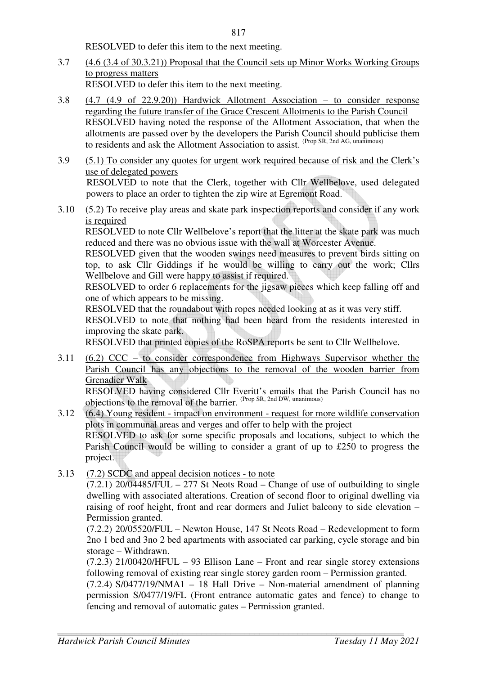RESOLVED to defer this item to the next meeting.

3.7 (4.6 (3.4 of 30.3.21)) Proposal that the Council sets up Minor Works Working Groups to progress matters

RESOLVED to defer this item to the next meeting.

- 3.8 (4.7 (4.9 of 22.9.20)) Hardwick Allotment Association to consider response regarding the future transfer of the Grace Crescent Allotments to the Parish Council RESOLVED having noted the response of the Allotment Association, that when the allotments are passed over by the developers the Parish Council should publicise them to residents and ask the Allotment Association to assist. (Prop SR, 2nd AG, unanimous)
- 3.9 (5.1) To consider any quotes for urgent work required because of risk and the Clerk's use of delegated powers RESOLVED to note that the Clerk, together with Cllr Wellbelove, used delegated powers to place an order to tighten the zip wire at Egremont Road.
- 3.10 (5.2) To receive play areas and skate park inspection reports and consider if any work is required

 RESOLVED to note Cllr Wellbelove's report that the litter at the skate park was much reduced and there was no obvious issue with the wall at Worcester Avenue.

 RESOLVED given that the wooden swings need measures to prevent birds sitting on top, to ask Cllr Giddings if he would be willing to carry out the work; Cllrs Wellbelove and Gill were happy to assist if required.

 RESOLVED to order 6 replacements for the jigsaw pieces which keep falling off and one of which appears to be missing.

RESOLVED that the roundabout with ropes needed looking at as it was very stiff.

 RESOLVED to note that nothing had been heard from the residents interested in improving the skate park.

RESOLVED that printed copies of the RoSPA reports be sent to Cllr Wellbelove.

3.11 (6.2) CCC – to consider correspondence from Highways Supervisor whether the Parish Council has any objections to the removal of the wooden barrier from Grenadier Walk

 RESOLVED having considered Cllr Everitt's emails that the Parish Council has no objections to the removal of the barrier. (Prop SR, 2nd DW, unanimous)

- 3.12 (6.4) Young resident impact on environment request for more wildlife conservation plots in communal areas and verges and offer to help with the project RESOLVED to ask for some specific proposals and locations, subject to which the Parish Council would be willing to consider a grant of up to £250 to progress the project.
- 3.13 (7.2) SCDC and appeal decision notices to note

 $(7.2.1)$  20/04485/FUL – 277 St Neots Road – Change of use of outbuilding to single dwelling with associated alterations. Creation of second floor to original dwelling via raising of roof height, front and rear dormers and Juliet balcony to side elevation – Permission granted.

(7.2.2) 20/05520/FUL – Newton House, 147 St Neots Road – Redevelopment to form 2no 1 bed and 3no 2 bed apartments with associated car parking, cycle storage and bin storage – Withdrawn.

 $(7.2.3)$  21/00420/HFUL – 93 Ellison Lane – Front and rear single storey extensions following removal of existing rear single storey garden room – Permission granted.

 $(7.2.4)$  S/0477/19/NMA1 – 18 Hall Drive – Non-material amendment of planning permission S/0477/19/FL (Front entrance automatic gates and fence) to change to fencing and removal of automatic gates – Permission granted.